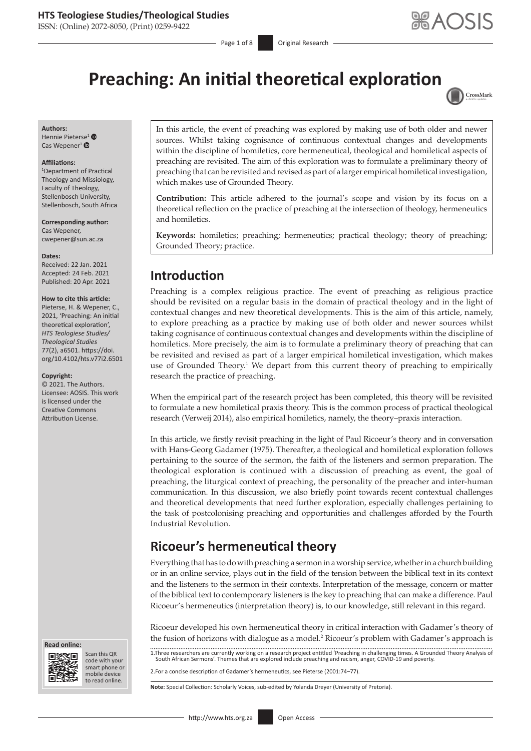ISSN: (Online) 2072-8050, (Print) 0259-9422

Page 1 of 8 **Original Research** 

# **Preaching: An initial theoretical exploration**



#### **Authors:** Hennie Pieter[se](https://orcid.org/0000-0002-7468-1481)<sup>[1](https://orcid.org/0000-0001-6453-8473)</sup> Cas Wepener<sup>1</sup> $\bullet$

#### **Affiliations:**

1 Department of Practical Theology and Missiology, Faculty of Theology, Stellenbosch University, Stellenbosch, South Africa

**Corresponding author:** Cas Wepener, [cwepener@sun.ac.za](mailto:cwepener@sun.ac.za)

#### **Dates:**

Received: 22 Jan. 2021 Accepted: 24 Feb. 2021 Published: 20 Apr. 2021

#### **How to cite this article:**

Pieterse, H. & Wepener, C., 2021, 'Preaching: An initial theoretical exploration', *HTS Teologiese Studies/ Theological Studies* 77(2), a6501. [https://doi.](https://doi.org/10.4102/hts.v77i2.6501) [org/10.4102/hts.v77i2.6501](https://doi.org/10.4102/hts.v77i2.6501)

#### **Copyright:**

© 2021. The Authors. Licensee: AOSIS. This work is licensed under the Creative Commons Attribution License.





Scan this QR code with your Scan this QR<br>code with your<br>smart phone or<br>mobile device mobile device to read online. to read online.

In this article, the event of preaching was explored by making use of both older and newer sources. Whilst taking cognisance of continuous contextual changes and developments within the discipline of homiletics, core hermeneutical, theological and homiletical aspects of preaching are revisited. The aim of this exploration was to formulate a preliminary theory of preaching that can be revisited and revised as part of a larger empirical homiletical investigation, which makes use of Grounded Theory.

**Contribution:** This article adhered to the journal's scope and vision by its focus on a theoretical reflection on the practice of preaching at the intersection of theology, hermeneutics and homiletics.

**Keywords:** homiletics; preaching; hermeneutics; practical theology; theory of preaching; Grounded Theory; practice.

# **Introduction**

Preaching is a complex religious practice. The event of preaching as religious practice should be revisited on a regular basis in the domain of practical theology and in the light of contextual changes and new theoretical developments. This is the aim of this article, namely, to explore preaching as a practice by making use of both older and newer sources whilst taking cognisance of continuous contextual changes and developments within the discipline of homiletics. More precisely, the aim is to formulate a preliminary theory of preaching that can be revisited and revised as part of a larger empirical homiletical investigation, which makes use of Grounded Theory.<sup>1</sup> We depart from this current theory of preaching to empirically research the practice of preaching.

When the empirical part of the research project has been completed, this theory will be revisited to formulate a new homiletical praxis theory. This is the common process of practical theological research (Verweij 2014), also empirical homiletics, namely, the theory–praxis interaction.

In this article, we firstly revisit preaching in the light of Paul Ricoeur's theory and in conversation with Hans-Georg Gadamer (1975). Thereafter, a theological and homiletical exploration follows pertaining to the source of the sermon, the faith of the listeners and sermon preparation. The theological exploration is continued with a discussion of preaching as event, the goal of preaching, the liturgical context of preaching, the personality of the preacher and inter-human communication. In this discussion, we also briefly point towards recent contextual challenges and theoretical developments that need further exploration, especially challenges pertaining to the task of postcolonising preaching and opportunities and challenges afforded by the Fourth Industrial Revolution.

# **Ricoeur's hermeneutical theory**

Everything that has to do with preaching a sermon in a worship service, whether in a churchbuilding or in an online service, plays out in the field of the tension between the biblical text in its context and the listeners to the sermon in their contexts. Interpretation of the message, concern or matter of the biblical text to contemporary listeners is the key to preaching that can make a difference. Paul Ricoeur's hermeneutics (interpretation theory) is, to our knowledge, still relevant in this regard.

Ricoeur developed his own hermeneutical theory in critical interaction with Gadamer's theory of the fusion of horizons with dialogue as a model.<sup>2</sup> Ricoeur's problem with Gadamer's approach is

1.Three researchers are currently working on a research project entitled 'Preaching in challenging times. A Grounded Theory Analysis of South African Sermons'. Themes that are explored include preaching and racism, anger, COVID-19 and poverty.

2.For a concise description of Gadamer's hermeneutics, see Pieterse (2001:74–77).

**Note:** Special Collection: Scholarly Voices, sub-edited by Yolanda Dreyer (University of Pretoria).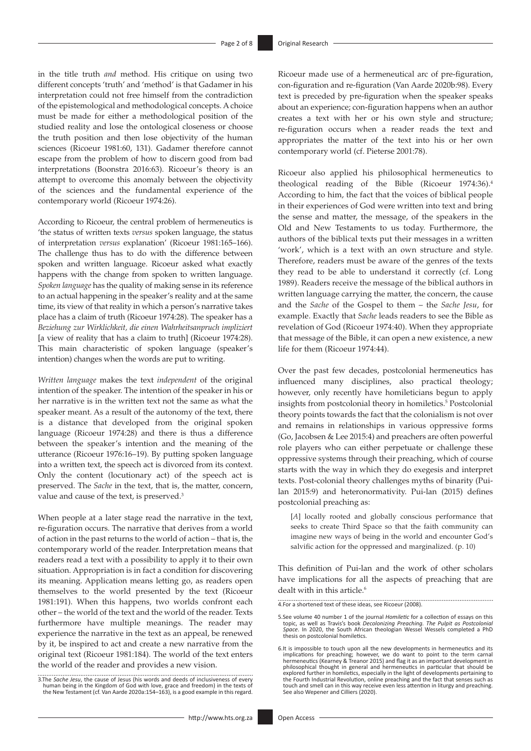in the title truth *and* method. His critique on using two different concepts 'truth' and 'method' is that Gadamer in his interpretation could not free himself from the contradiction of the epistemological and methodological concepts. A choice must be made for either a methodological position of the studied reality and lose the ontological closeness or choose the truth position and then lose objectivity of the human sciences (Ricoeur 1981:60, 131). Gadamer therefore cannot escape from the problem of how to discern good from bad interpretations (Boonstra 2016:63). Ricoeur's theory is an attempt to overcome this anomaly between the objectivity of the sciences and the fundamental experience of the contemporary world (Ricoeur 1974:26).

According to Ricoeur, the central problem of hermeneutics is 'the status of written texts *versus* spoken language, the status of interpretation *versus* explanation' (Ricoeur 1981:165–166). The challenge thus has to do with the difference between spoken and written language. Ricoeur asked what exactly happens with the change from spoken to written language. *Spoken language* has the quality of making sense in its reference to an actual happening in the speaker's reality and at the same time, its view of that reality in which a person's narrative takes place has a claim of truth (Ricoeur 1974:28). The speaker has a *Beziehung zur Wirklichkeit, die einen Wahrheitsanpruch impliziert* [a view of reality that has a claim to truth] (Ricoeur 1974:28). This main characteristic of spoken language (speaker's intention) changes when the words are put to writing.

*Written language* makes the text *independent* of the original intention of the speaker. The intention of the speaker in his or her narrative is in the written text not the same as what the speaker meant. As a result of the autonomy of the text, there is a distance that developed from the original spoken language (Ricoeur 1974:28) and there is thus a difference between the speaker's intention and the meaning of the utterance (Ricoeur 1976:16–19). By putting spoken language into a written text, the speech act is divorced from its context. Only the content (locutionary act) of the speech act is preserved. The *Sache* in the text, that is, the matter, concern, value and cause of the text, is preserved.<sup>3</sup>

When people at a later stage read the narrative in the text, re-figuration occurs. The narrative that derives from a world of action in the past returns to the world of action – that is, the contemporary world of the reader. Interpretation means that readers read a text with a possibility to apply it to their own situation. Appropriation is in fact a condition for discovering its meaning. Application means letting go, as readers open themselves to the world presented by the text (Ricoeur 1981:191). When this happens, two worlds confront each other – the world of the text and the world of the reader. Texts furthermore have multiple meanings. The reader may experience the narrative in the text as an appeal, be renewed by it, be inspired to act and create a new narrative from the original text (Ricoeur 1981:184). The world of the text enters the world of the reader and provides a new vision.

Ricoeur made use of a hermeneutical arc of pre-figuration, con-figuration and re-figuration (Van Aarde 2020b:98). Every text is preceded by pre-figuration when the speaker speaks about an experience; con-figuration happens when an author creates a text with her or his own style and structure; re-figuration occurs when a reader reads the text and appropriates the matter of the text into his or her own contemporary world (cf. Pieterse 2001:78).

Ricoeur also applied his philosophical hermeneutics to theological reading of the Bible (Ricoeur 1974:36).4 According to him, the fact that the voices of biblical people in their experiences of God were written into text and bring the sense and matter, the message, of the speakers in the Old and New Testaments to us today. Furthermore, the authors of the biblical texts put their messages in a written 'work', which is a text with an own structure and style. Therefore, readers must be aware of the genres of the texts they read to be able to understand it correctly (cf. Long 1989). Readers receive the message of the biblical authors in written language carrying the matter, the concern, the cause and the *Sache* of the Gospel to them – the *Sache Jesu*, for example. Exactly that *Sache* leads readers to see the Bible as revelation of God (Ricoeur 1974:40). When they appropriate that message of the Bible, it can open a new existence, a new life for them (Ricoeur 1974:44).

Over the past few decades, postcolonial hermeneutics has influenced many disciplines, also practical theology; however, only recently have homileticians begun to apply insights from postcolonial theory in homiletics.5 Postcolonial theory points towards the fact that the colonialism is not over and remains in relationships in various oppressive forms (Go, Jacobsen & Lee 2015:4) and preachers are often powerful role players who can either perpetuate or challenge these oppressive systems through their preaching, which of course starts with the way in which they do exegesis and interpret texts. Post-colonial theory challenges myths of binarity (Puilan 2015:9) and heteronormativity. Pui-lan (2015) defines postcolonial preaching as:

[*A*] locally rooted and globally conscious performance that seeks to create Third Space so that the faith community can imagine new ways of being in the world and encounter God's salvific action for the oppressed and marginalized. (p. 10)

This definition of Pui-lan and the work of other scholars have implications for all the aspects of preaching that are dealt with in this article.<sup>6</sup>

4.For a shortened text of these ideas, see Ricoeur (2008). 

<sup>3.</sup>The *Sache Jesu*, the cause of Jesus (his words and deeds of inclusiveness of every human being in the Kingdom of God with love, grace and freedom) in the texts of the New Testament (cf. Van Aarde 2020a:154–163), is a good example in this regard.

<sup>5.</sup>See volume 40 number 1 of the journal *Homiletic* for a collection of essays on this topic, as well as Travis's book *Decolonizing Preaching. The Pulpit as Postcolonial Space*. In 2020, the South African theologian Wessel Wessels completed a PhD thesis on postcolonial homiletics.

<sup>6.</sup>It is impossible to touch upon all the new developments in hermeneutics and its implications for preaching; however, we do want to point to the term carnal hermeneutics (Kearney & Treanor 2015) and flag it as an important development in philosophical thought in general and hermeneutics in particular that should be explored further in homiletics, especially in the light of developments pertaining to the Fourth Industrial Revolution, online preaching and th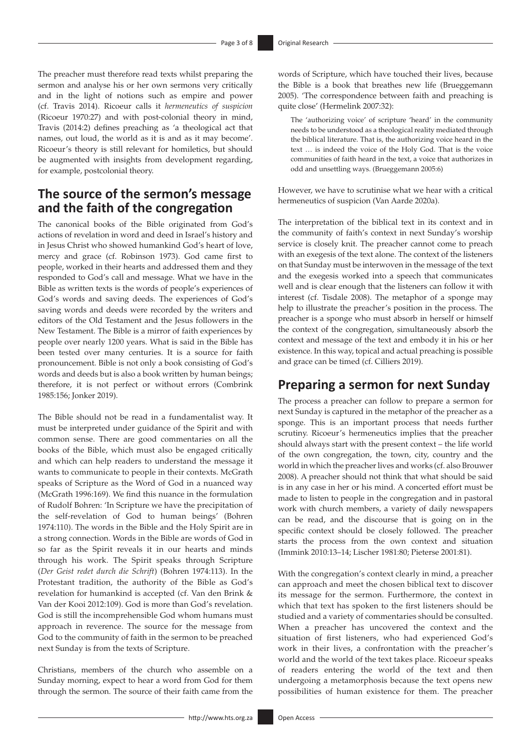The preacher must therefore read texts whilst preparing the sermon and analyse his or her own sermons very critically and in the light of notions such as empire and power (cf. Travis 2014). Ricoeur calls it *hermeneutics of suspicion* (Ricoeur 1970:27) and with post-colonial theory in mind, Travis (2014:2) defines preaching as 'a theological act that names, out loud, the world as it is and as it may become'. Ricoeur's theory is still relevant for homiletics, but should be augmented with insights from development regarding, for example, postcolonial theory.

## **The source of the sermon's message and the faith of the congregation**

The canonical books of the Bible originated from God's actions of revelation in word and deed in Israel's history and in Jesus Christ who showed humankind God's heart of love, mercy and grace (cf. Robinson 1973). God came first to people, worked in their hearts and addressed them and they responded to God's call and message. What we have in the Bible as written texts is the words of people's experiences of God's words and saving deeds. The experiences of God's saving words and deeds were recorded by the writers and editors of the Old Testament and the Jesus followers in the New Testament. The Bible is a mirror of faith experiences by people over nearly 1200 years. What is said in the Bible has been tested over many centuries. It is a source for faith pronouncement. Bible is not only a book consisting of God's words and deeds but is also a book written by human beings; therefore, it is not perfect or without errors (Combrink 1985:156; Jonker 2019).

The Bible should not be read in a fundamentalist way. It must be interpreted under guidance of the Spirit and with common sense. There are good commentaries on all the books of the Bible, which must also be engaged critically and which can help readers to understand the message it wants to communicate to people in their contexts. McGrath speaks of Scripture as the Word of God in a nuanced way (McGrath 1996:169). We find this nuance in the formulation of Rudolf Bohren: 'In Scripture we have the precipitation of the self-revelation of God to human beings' (Bohren 1974:110). The words in the Bible and the Holy Spirit are in a strong connection. Words in the Bible are words of God in so far as the Spirit reveals it in our hearts and minds through his work. The Spirit speaks through Scripture (*Der Geist redet durch die Schrift*) (Bohren 1974:113). In the Protestant tradition, the authority of the Bible as God's revelation for humankind is accepted (cf. Van den Brink & Van der Kooi 2012:109). God is more than God's revelation. God is still the incomprehensible God whom humans must approach in reverence. The source for the message from God to the community of faith in the sermon to be preached next Sunday is from the texts of Scripture.

Christians, members of the church who assemble on a Sunday morning, expect to hear a word from God for them through the sermon. The source of their faith came from the

words of Scripture, which have touched their lives, because the Bible is a book that breathes new life (Brueggemann 2005). 'The correspondence between faith and preaching is quite close' (Hermelink 2007:32):

The 'authorizing voice' of scripture 'heard' in the community needs to be understood as a theological reality mediated through the biblical literature. That is, the authorizing voice heard in the text … is indeed the voice of the Holy God. That is the voice communities of faith heard in the text, a voice that authorizes in odd and unsettling ways. (Brueggemann 2005:6)

However, we have to scrutinise what we hear with a critical hermeneutics of suspicion (Van Aarde 2020a).

The interpretation of the biblical text in its context and in the community of faith's context in next Sunday's worship service is closely knit. The preacher cannot come to preach with an exegesis of the text alone. The context of the listeners on that Sunday must be interwoven in the message of the text and the exegesis worked into a speech that communicates well and is clear enough that the listeners can follow it with interest (cf. Tisdale 2008). The metaphor of a sponge may help to illustrate the preacher's position in the process. The preacher is a sponge who must absorb in herself or himself the context of the congregation, simultaneously absorb the context and message of the text and embody it in his or her existence. In this way, topical and actual preaching is possible and grace can be timed (cf. Cilliers 2019).

### **Preparing a sermon for next Sunday**

The process a preacher can follow to prepare a sermon for next Sunday is captured in the metaphor of the preacher as a sponge. This is an important process that needs further scrutiny. Ricoeur's hermeneutics implies that the preacher should always start with the present context – the life world of the own congregation, the town, city, country and the world in which the preacher lives and works (cf. also Brouwer 2008). A preacher should not think that what should be said is in any case in her or his mind. A concerted effort must be made to listen to people in the congregation and in pastoral work with church members, a variety of daily newspapers can be read, and the discourse that is going on in the specific context should be closely followed. The preacher starts the process from the own context and situation (Immink 2010:13–14; Lischer 1981:80; Pieterse 2001:81).

With the congregation's context clearly in mind, a preacher can approach and meet the chosen biblical text to discover its message for the sermon. Furthermore, the context in which that text has spoken to the first listeners should be studied and a variety of commentaries should be consulted. When a preacher has uncovered the context and the situation of first listeners, who had experienced God's work in their lives, a confrontation with the preacher's world and the world of the text takes place. Ricoeur speaks of readers entering the world of the text and then undergoing a metamorphosis because the text opens new possibilities of human existence for them. The preacher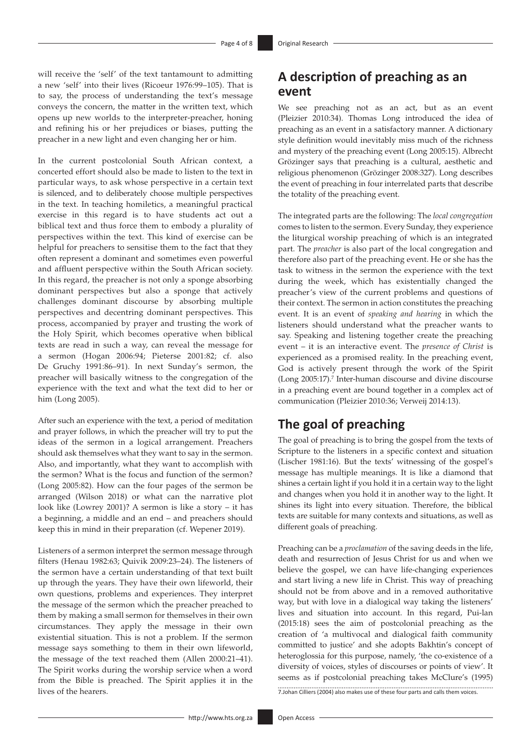will receive the 'self' of the text tantamount to admitting a new 'self' into their lives (Ricoeur 1976:99–105). That is to say, the process of understanding the text's message conveys the concern, the matter in the written text, which opens up new worlds to the interpreter-preacher, honing and refining his or her prejudices or biases, putting the preacher in a new light and even changing her or him.

In the current postcolonial South African context, a concerted effort should also be made to listen to the text in particular ways, to ask whose perspective in a certain text is silenced, and to deliberately choose multiple perspectives in the text. In teaching homiletics, a meaningful practical exercise in this regard is to have students act out a biblical text and thus force them to embody a plurality of perspectives within the text. This kind of exercise can be helpful for preachers to sensitise them to the fact that they often represent a dominant and sometimes even powerful and affluent perspective within the South African society. In this regard, the preacher is not only a sponge absorbing dominant perspectives but also a sponge that actively challenges dominant discourse by absorbing multiple perspectives and decentring dominant perspectives. This process, accompanied by prayer and trusting the work of the Holy Spirit, which becomes operative when biblical texts are read in such a way, can reveal the message for a sermon (Hogan 2006:94; Pieterse 2001:82; cf. also De Gruchy 1991:86–91). In next Sunday's sermon, the preacher will basically witness to the congregation of the experience with the text and what the text did to her or him (Long 2005).

After such an experience with the text, a period of meditation and prayer follows, in which the preacher will try to put the ideas of the sermon in a logical arrangement. Preachers should ask themselves what they want to say in the sermon. Also, and importantly, what they want to accomplish with the sermon? What is the focus and function of the sermon? (Long 2005:82). How can the four pages of the sermon be arranged (Wilson 2018) or what can the narrative plot look like (Lowrey 2001)? A sermon is like a story – it has a beginning, a middle and an end – and preachers should keep this in mind in their preparation (cf. Wepener 2019).

Listeners of a sermon interpret the sermon message through filters (Henau 1982:63; Quivik 2009:23–24). The listeners of the sermon have a certain understanding of that text built up through the years. They have their own lifeworld, their own questions, problems and experiences. They interpret the message of the sermon which the preacher preached to them by making a small sermon for themselves in their own circumstances. They apply the message in their own existential situation. This is not a problem. If the sermon message says something to them in their own lifeworld, the message of the text reached them (Allen 2000:21–41). The Spirit works during the worship service when a word from the Bible is preached. The Spirit applies it in the lives of the hearers.

### **A description of preaching as an event**

We see preaching not as an act, but as an event (Pleizier 2010:34). Thomas Long introduced the idea of preaching as an event in a satisfactory manner. A dictionary style definition would inevitably miss much of the richness and mystery of the preaching event (Long 2005:15). Albrecht Grözinger says that preaching is a cultural, aesthetic and religious phenomenon (Grözinger 2008:327). Long describes the event of preaching in four interrelated parts that describe the totality of the preaching event.

The integrated parts are the following: The *local congregation* comes to listen to the sermon. Every Sunday, they experience the liturgical worship preaching of which is an integrated part. The *preacher* is also part of the local congregation and therefore also part of the preaching event. He or she has the task to witness in the sermon the experience with the text during the week, which has existentially changed the preacher's view of the current problems and questions of their context. The sermon in action constitutes the preaching event. It is an event of *speaking and hearing* in which the listeners should understand what the preacher wants to say. Speaking and listening together create the preaching event – it is an interactive event. The *presence of Christ* is experienced as a promised reality. In the preaching event, God is actively present through the work of the Spirit (Long 2005:17).7 Inter-human discourse and divine discourse in a preaching event are bound together in a complex act of communication (Pleizier 2010:36; Verweij 2014:13).

### **The goal of preaching**

The goal of preaching is to bring the gospel from the texts of Scripture to the listeners in a specific context and situation (Lischer 1981:16). But the texts' witnessing of the gospel's message has multiple meanings. It is like a diamond that shines a certain light if you hold it in a certain way to the light and changes when you hold it in another way to the light. It shines its light into every situation. Therefore, the biblical texts are suitable for many contexts and situations, as well as different goals of preaching.

Preaching can be a *proclamation* of the saving deeds in the life, death and resurrection of Jesus Christ for us and when we believe the gospel, we can have life-changing experiences and start living a new life in Christ. This way of preaching should not be from above and in a removed authoritative way, but with love in a dialogical way taking the listeners' lives and situation into account. In this regard, Pui-lan (2015:18) sees the aim of postcolonial preaching as the creation of 'a multivocal and dialogical faith community committed to justice' and she adopts Bakhtin's concept of heteroglossia for this purpose, namely, 'the co-existence of a diversity of voices, styles of discourses or points of view'. It seems as if postcolonial preaching takes McClure's (1995) 7.Johan Cilliers (2004) also makes use of these four parts and calls them voices.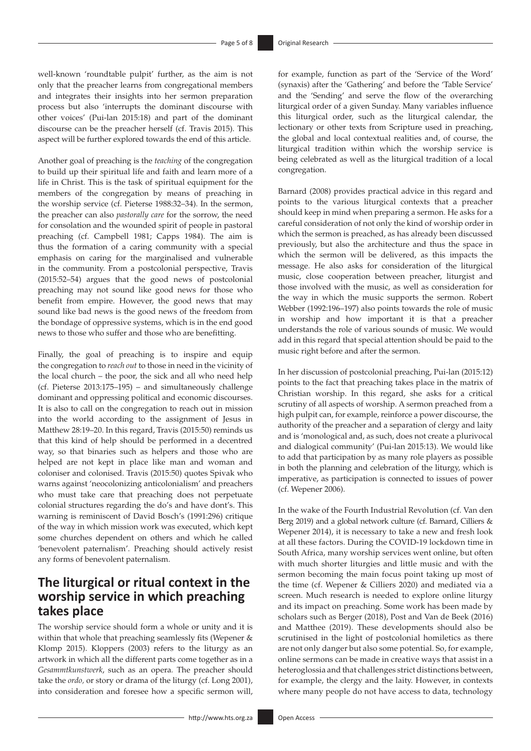well-known 'roundtable pulpit' further, as the aim is not only that the preacher learns from congregational members and integrates their insights into her sermon preparation process but also 'interrupts the dominant discourse with other voices' (Pui-lan 2015:18) and part of the dominant discourse can be the preacher herself (cf. Travis 2015). This aspect will be further explored towards the end of this article.

Another goal of preaching is the *teaching* of the congregation to build up their spiritual life and faith and learn more of a life in Christ. This is the task of spiritual equipment for the members of the congregation by means of preaching in the worship service (cf. Pieterse 1988:32–34). In the sermon, the preacher can also *pastorally care* for the sorrow, the need for consolation and the wounded spirit of people in pastoral preaching (cf. Campbell 1981; Capps 1984). The aim is thus the formation of a caring community with a special emphasis on caring for the marginalised and vulnerable in the community. From a postcolonial perspective, Travis (2015:52–54) argues that the good news of postcolonial preaching may not sound like good news for those who benefit from empire. However, the good news that may sound like bad news is the good news of the freedom from the bondage of oppressive systems, which is in the end good news to those who suffer and those who are benefitting.

Finally, the goal of preaching is to inspire and equip the congregation to *reach out* to those in need in the vicinity of the local church – the poor, the sick and all who need help (cf. Pieterse 2013:175–195) – and simultaneously challenge dominant and oppressing political and economic discourses. It is also to call on the congregation to reach out in mission into the world according to the assignment of Jesus in Matthew 28:19–20. In this regard, Travis (2015:50) reminds us that this kind of help should be performed in a decentred way, so that binaries such as helpers and those who are helped are not kept in place like man and woman and coloniser and colonised. Travis (2015:50) quotes Spivak who warns against 'neocolonizing anticolonialism' and preachers who must take care that preaching does not perpetuate colonial structures regarding the do's and have dont's. This warning is reminiscent of David Bosch's (1991:296) critique of the way in which mission work was executed, which kept some churches dependent on others and which he called 'benevolent paternalism'. Preaching should actively resist any forms of benevolent paternalism.

### **The liturgical or ritual context in the worship service in which preaching takes place**

The worship service should form a whole or unity and it is within that whole that preaching seamlessly fits (Wepener & Klomp 2015). Kloppers (2003) refers to the liturgy as an artwork in which all the different parts come together as in a *Gesammtkunstwerk*, such as an opera*.* The preacher should take the *ordo,* or story or drama of the liturgy (cf. Long 2001), into consideration and foresee how a specific sermon will, for example, function as part of the 'Service of the Word' (synaxis) after the 'Gathering' and before the 'Table Service' and the 'Sending' and serve the flow of the overarching liturgical order of a given Sunday. Many variables influence this liturgical order, such as the liturgical calendar, the lectionary or other texts from Scripture used in preaching, the global and local contextual realities and, of course, the liturgical tradition within which the worship service is being celebrated as well as the liturgical tradition of a local congregation.

Barnard (2008) provides practical advice in this regard and points to the various liturgical contexts that a preacher should keep in mind when preparing a sermon. He asks for a careful consideration of not only the kind of worship order in which the sermon is preached, as has already been discussed previously, but also the architecture and thus the space in which the sermon will be delivered, as this impacts the message. He also asks for consideration of the liturgical music, close cooperation between preacher, liturgist and those involved with the music, as well as consideration for the way in which the music supports the sermon. Robert Webber (1992:196–197) also points towards the role of music in worship and how important it is that a preacher understands the role of various sounds of music. We would add in this regard that special attention should be paid to the music right before and after the sermon.

In her discussion of postcolonial preaching, Pui-lan (2015:12) points to the fact that preaching takes place in the matrix of Christian worship. In this regard, she asks for a critical scrutiny of all aspects of worship. A sermon preached from a high pulpit can, for example, reinforce a power discourse, the authority of the preacher and a separation of clergy and laity and is 'monological and, as such, does not create a plurivocal and dialogical community' (Pui-lan 2015:13). We would like to add that participation by as many role players as possible in both the planning and celebration of the liturgy, which is imperative, as participation is connected to issues of power (cf. Wepener 2006).

In the wake of the Fourth Industrial Revolution (cf. Van den Berg 2019) and a global network culture (cf. Barnard, Cilliers & Wepener 2014), it is necessary to take a new and fresh look at all these factors. During the COVID-19 lockdown time in South Africa, many worship services went online, but often with much shorter liturgies and little music and with the sermon becoming the main focus point taking up most of the time (cf. Wepener & Cilliers 2020) and mediated via a screen. Much research is needed to explore online liturgy and its impact on preaching. Some work has been made by scholars such as Berger (2018), Post and Van de Beek (2016) and Matthee (2019). These developments should also be scrutinised in the light of postcolonial homiletics as there are not only danger but also some potential. So, for example, online sermons can be made in creative ways that assist in a heteroglossia and that challenges strict distinctions between, for example, the clergy and the laity. However, in contexts where many people do not have access to data, technology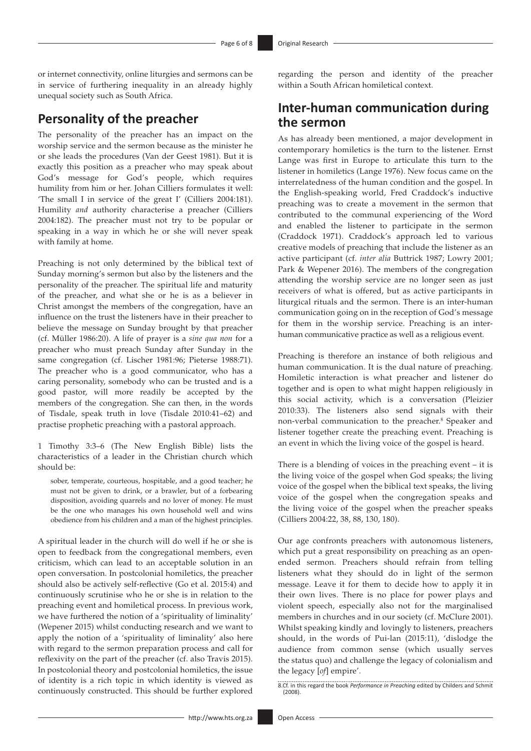or internet connectivity, online liturgies and sermons can be in service of furthering inequality in an already highly unequal society such as South Africa.

### **Personality of the preacher**

The personality of the preacher has an impact on the worship service and the sermon because as the minister he or she leads the procedures (Van der Geest 1981). But it is exactly this position as a preacher who may speak about God's message for God's people, which requires humility from him or her. Johan Cilliers formulates it well: 'The small I in service of the great I' (Cilliers 2004:181). Humility *and* authority characterise a preacher (Cilliers 2004:182). The preacher must not try to be popular or speaking in a way in which he or she will never speak with family at home.

Preaching is not only determined by the biblical text of Sunday morning's sermon but also by the listeners and the personality of the preacher. The spiritual life and maturity of the preacher, and what she or he is as a believer in Christ amongst the members of the congregation, have an influence on the trust the listeners have in their preacher to believe the message on Sunday brought by that preacher (cf. Müller 1986:20). A life of prayer is a *sine qua non* for a preacher who must preach Sunday after Sunday in the same congregation (cf. Lischer 1981:96; Pieterse 1988:71). The preacher who is a good communicator, who has a caring personality, somebody who can be trusted and is a good pastor, will more readily be accepted by the members of the congregation. She can then, in the words of Tisdale, speak truth in love (Tisdale 2010:41–62) and practise prophetic preaching with a pastoral approach.

1 Timothy 3:3–6 (The New English Bible) lists the characteristics of a leader in the Christian church which should be:

sober, temperate, courteous, hospitable, and a good teacher; he must not be given to drink, or a brawler, but of a forbearing disposition, avoiding quarrels and no lover of money. He must be the one who manages his own household well and wins obedience from his children and a man of the highest principles.

A spiritual leader in the church will do well if he or she is open to feedback from the congregational members, even criticism, which can lead to an acceptable solution in an open conversation. In postcolonial homiletics, the preacher should also be actively self-reflective (Go et al. 2015:4) and continuously scrutinise who he or she is in relation to the preaching event and homiletical process. In previous work, we have furthered the notion of a 'spirituality of liminality' (Wepener 2015) whilst conducting research and we want to apply the notion of a 'spirituality of liminality' also here with regard to the sermon preparation process and call for reflexivity on the part of the preacher (cf. also Travis 2015). In postcolonial theory and postcolonial homiletics, the issue of identity is a rich topic in which identity is viewed as continuously constructed. This should be further explored

regarding the person and identity of the preacher within a South African homiletical context.

### **Inter-human communication during the sermon**

As has already been mentioned, a major development in contemporary homiletics is the turn to the listener. Ernst Lange was first in Europe to articulate this turn to the listener in homiletics (Lange 1976). New focus came on the interrelatedness of the human condition and the gospel. In the English-speaking world, Fred Craddock's inductive preaching was to create a movement in the sermon that contributed to the communal experiencing of the Word and enabled the listener to participate in the sermon (Craddock 1971). Craddock's approach led to various creative models of preaching that include the listener as an active participant (cf. *inter alia* Buttrick 1987; Lowry 2001; Park & Wepener 2016). The members of the congregation attending the worship service are no longer seen as just receivers of what is offered, but as active participants in liturgical rituals and the sermon. There is an inter-human communication going on in the reception of God's message for them in the worship service. Preaching is an interhuman communicative practice as well as a religious event.

Preaching is therefore an instance of both religious and human communication. It is the dual nature of preaching. Homiletic interaction is what preacher and listener do together and is open to what might happen religiously in this social activity, which is a conversation (Pleizier 2010:33). The listeners also send signals with their non-verbal communication to the preacher.<sup>8</sup> Speaker and listener together create the preaching event. Preaching is an event in which the living voice of the gospel is heard.

There is a blending of voices in the preaching event – it is the living voice of the gospel when God speaks; the living voice of the gospel when the biblical text speaks, the living voice of the gospel when the congregation speaks and the living voice of the gospel when the preacher speaks (Cilliers 2004:22, 38, 88, 130, 180).

Our age confronts preachers with autonomous listeners, which put a great responsibility on preaching as an openended sermon. Preachers should refrain from telling listeners what they should do in light of the sermon message. Leave it for them to decide how to apply it in their own lives. There is no place for power plays and violent speech, especially also not for the marginalised members in churches and in our society (cf. McClure 2001). Whilst speaking kindly and lovingly to listeners, preachers should, in the words of Pui-lan (2015:11), 'dislodge the audience from common sense (which usually serves the status quo) and challenge the legacy of colonialism and the legacy [*of*] empire'.

8.Cf. in this regard the book *Performance in Preaching* edited by Childers and Schmit (2008).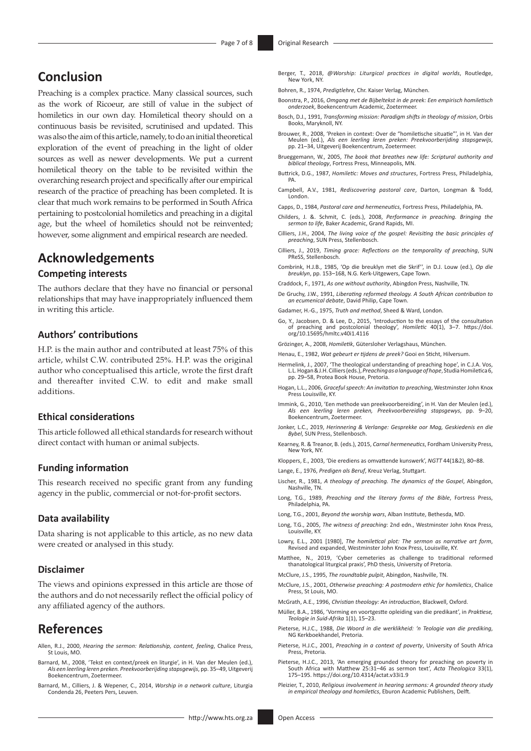# **Conclusion**

Preaching is a complex practice. Many classical sources, such as the work of Ricoeur, are still of value in the subject of homiletics in our own day. Homiletical theory should on a continuous basis be revisited, scrutinised and updated. This was also the aim of this article, namely, to do an initial theoretical exploration of the event of preaching in the light of older sources as well as newer developments. We put a current homiletical theory on the table to be revisited within the overarching research project and specifically after our empirical research of the practice of preaching has been completed. It is clear that much work remains to be performed in South Africa pertaining to postcolonial homiletics and preaching in a digital age, but the wheel of homiletics should not be reinvented; however, some alignment and empirical research are needed.

#### **Acknowledgements**

#### **Competing interests**

The authors declare that they have no financial or personal relationships that may have inappropriately influenced them in writing this article.

#### **Authors' contributions**

H.P. is the main author and contributed at least 75% of this article, whilst C.W. contributed 25%. H.P. was the original author who conceptualised this article, wrote the first draft and thereafter invited C.W. to edit and make small additions.

#### **Ethical considerations**

This article followed all ethical standards for research without direct contact with human or animal subjects.

#### **Funding information**

This research received no specific grant from any funding agency in the public, commercial or not-for-profit sectors.

#### **Data availability**

Data sharing is not applicable to this article, as no new data were created or analysed in this study.

#### **Disclaimer**

The views and opinions expressed in this article are those of the authors and do not necessarily reflect the official policy of any affiliated agency of the authors.

### **References**

- Allen, R.J., 2000, *Hearing the sermon: Relationship, content, feeling*, Chalice Press, St Louis, MO.
- Barnard, M., 2008, 'Tekst en context/preek en liturgie', in H. Van der Meulen (ed.), *Als een leerling leren preken. Preekvoorberijding stapsgewijs*, pp. 35–49, Uitgeverij Boekencentrum, Zoetermeer.
- Barnard, M., Cilliers, J. & Wepener, C., 2014, *Worship in a network culture*, Liturgia Condenda 26, Peeters Pers, Leuven.
- Berger, T., 2018, *@Worship: Liturgical practices in digital worlds*, Routledge, New York, NY.
- Bohren, R., 1974, *Predigtlehre*, Chr. Kaiser Verlag, München.
- Boonstra, P., 2016, *Omgang met de Bijbeltekst in de preek: Een empirisch homiletisch onderzoek*, Boekencentrum Academic, Zoetermeer.
- Bosch, D.J., 1991, *Transforming mission: Paradigm shifts in theology of mission*, Orbis Books, Maryknoll, NY.
- Brouwer, R., 2008, 'Preken in context: Over de "homiletische situatie"', in H. Van der Meulen (ed.), *Als een leerling leren preken: Preekvoorberijding stapsgewijs*, pp. 21–34, Uitgeverij Boekencentrum, Zoetermeer.
- Brueggemann, W., 2005, *The book that breathes new life: Scriptural authority and biblical theology*, Fortress Press, Minneapolis, MN.
- Buttrick, D.G., 1987, *Homiletic: Moves and structures*, Fortress Press, Philadelphia, PA.
- Campbell, A.V., 1981, *Rediscovering pastoral care*, Darton, Longman & Todd, London.
- Capps, D., 1984, *Pastoral care and hermeneutics*, Fortress Press, Philadelphia, PA.
- Childers, J. &. Schmit, C. (eds.), 2008, *Performance in preaching. Bringing the sermon to life*, Baker Academic, Grand Rapids, MI.
- Cilliers, J.H., 2004, *The living voice of the gospel: Revisiting the basic principles of preaching*, SUN Press, Stellenbosch.
- Cilliers, J., 2019, *Timing grace: Reflections on the temporality of preaching*, SUN PReSS, Stellenbosch.
- Combrink, H.J.B., 1985, 'Op die breuklyn met die Skrif'', in D.J. Louw (ed.), *Op die breuklyn*, pp. 153–168, N.G. Kerk-Uitgewers, Cape Town.
- Craddock, F., 1971, *As one without authority*, Abingdon Press, Nashville, TN.
- De Gruchy, J.W., 1991, *Liberating reformed theology. A South African contribution to an ecumenical debate*, David Philip, Cape Town.
- Gadamer, H.-G., 1975, *Truth and method*, Sheed & Ward, London.
- Go, Y., Jacobsen, D. & Lee, D., 2015, 'Introduction to the essays of the consultation of preaching and postcolonial theology', *Homiletic* 40(1), 3–7. [https://doi.](https://doi.org/10.15695/hmltc.v40i1.4116) [org/10.15695/hmltc.v40i1.4116](https://doi.org/10.15695/hmltc.v40i1.4116)
- Grözinger, A., 2008, *Homiletik*, Gütersloher Verlagshaus, München.
- Henau, E., 1982, *Wat gebeurt er tijdens de preek?* Gooi en Sticht, Hilversum.
- Hermelink, J., 2007, 'The theological understanding of preaching hope', in C.J.A. Vos, L.L. Hogan & J.H. Cilliers (eds.), *Preaching as a language of hope*, Studia Homiletica 6, pp. 29–58, Protea Book House, Pretoria.
- Hogan, L.L., 2006, *Graceful speech: An invitation to preaching*, Westminster John Knox Press Louisville, KY.
- Immink, G., 2010, 'Een methode van preekvoorbereiding', in H. Van der Meulen (ed.), *Als een leerling leren preken, Preekvoorbereiding stapsgewys*, pp. 9–20, Boekencentrum, Zoetermeer.
- Jonker, L.C., 2019, *Herinnering & Verlange: Gesprekke oor Mag, Geskiedenis en die Bybel*, SUN Press, Stellenbosch.
- Kearney, R. & Treanor, B. (eds.), 2015, *Carnal hermeneutics*, Fordham University Press, New York, NY.
- Kloppers, E., 2003, 'Die erediens as omvattende kunswerk', *NGTT* 44(1&2), 80–88.
- Lange, E., 1976, *Predigen als Beruf*, Kreuz Verlag, Stuttgart.
- Lischer, R., 1981, *A theology of preaching. The dynamics of the Gospel*, Abingdon, Nashville, TN.
- Long, T.G., 1989, *Preaching and the literary forms of the Bible*, Fortress Press, Philadelphia, PA.
- Long, T.G., 2001, *Beyond the worship wars*, Alban Institute, Bethesda, MD.
- Long, T.G., 2005, *The witness of preaching*: 2nd edn., Westminster John Knox Press, Louisville, KY.
- Lowry, E.L., 2001 [1980], *The homiletical plot: The sermon as narrative art form*, Revised and expanded, Westminster John Knox Press, Louisville, KY.
- Matthee, N., 2019, 'Cyber cemeteries as challenge to traditional reformed thanatological liturgical praxis', PhD thesis, University of Pretoria.
- McClure, J.S., 1995, *The roundtable pulpit*, Abingdon, Nashville, TN.
- McClure, J.S., 2001, *Otherwise preaching: A postmodern ethic for homiletics*, Chalice Press, St Louis, MO.
- McGrath, A.E., 1996, *Christian theology: An introduction*, Blackwell, Oxford.
- Müller, B.A., 1986, 'Vorming en voortgestte opleiding van die predikant', in *Praktiese, Teologie in Suid-Afrika* 1(1), 15–23.
- Pieterse, H.J.C., 1988, *Die Woord in die werklikheid: 'n Teologie van die prediking*, NG Kerkboekhandel, Pretoria.
- Pieterse, H.J.C., 2001, *Preaching in a context of poverty*, University of South Africa Press, Pretoria.
- Pieterse, H.J.C., 2013, 'An emerging grounded theory for preaching on poverty in South Africa with Matthew 25:31–46 as sermon text', *Acta Theologica* 33(1), 175–195.<https://doi.org/10.4314/actat.v33i1.9>
- Pleizier, T., 2010, *Religious involvement in hearing sermons: A grounded theory study in empirical theology and homiletics*, Eburon Academic Publishers, Delft.